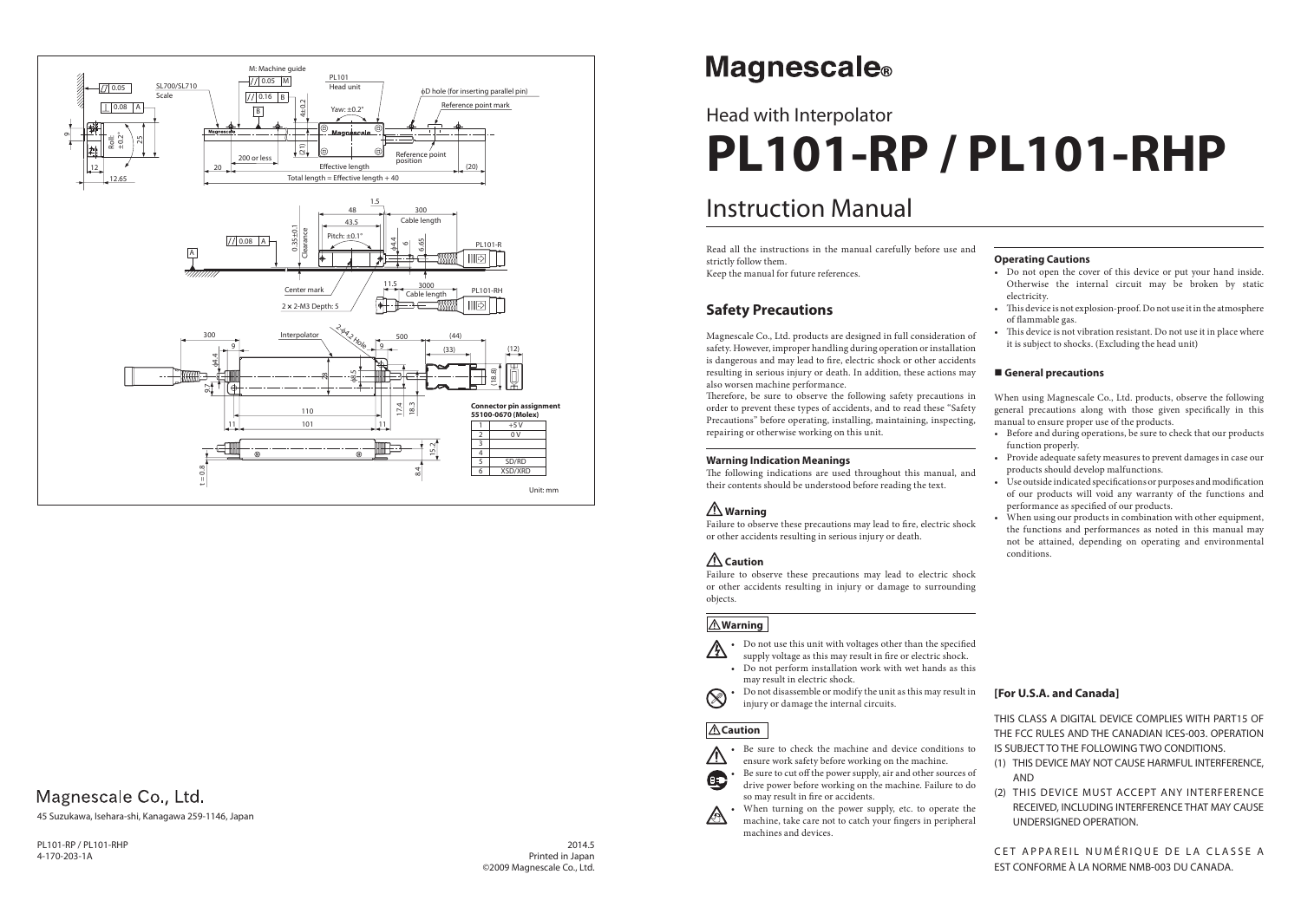## Instruction Manual

# Head with Interpolator **PL101-RP / PL101-RHP**

#### **Operating Cautions**

- Do not open the cover of this device or put your hand inside. Otherwise the internal circuit may be broken by static electricity.
- This device is not explosion-proof. Do not use it in the atmosphere of flammable gas.
- This device is not vibration resistant. Do not use it in place where it is subject to shocks. (Excluding the head unit)

#### **General precautions**

When using Magnescale Co., Ltd. products, observe the following general precautions along with those given specifically in this manual to ensure proper use of the products.

- Before and during operations, be sure to check that our products function properly.
- Provide adequate safety measures to prevent damages in case our products should develop malfunctions.
- Use outside indicated specifications or purposes and modification of our products will void any warranty of the functions and performance as specified of our products.
- When using our products in combination with other equipment, the functions and performances as noted in this manual may not be attained, depending on operating and environmental conditions.

Therefore, be sure to observe the following safety precautions in order to prevent these types of accidents, and to read these "Safety Precautions" before operating, installing, maintaining, inspecting, repairing or otherwise working on this unit.

The following indications are used throughout this manual, and their contents should be understood before reading the text.

Failure to observe these precautions may lead to fire, electric shock or other accidents resulting in serious injury or death.

Read all the instructions in the manual carefully before use and strictly follow them.

Keep the manual for future references.

### **Safety Precautions**

Be sure to check the machine and device conditions to ensure work safety before working on the machine.

Be sure to cut off the power supply, air and other sources of drive power before working on the machine. Failure to do so may result in fire or accidents.

Magnescale Co., Ltd. products are designed in full consideration of safety. However, improper handling during operation or installation is dangerous and may lead to fire, electric shock or other accidents resulting in serious injury or death. In addition, these actions may also worsen machine performance.

> When turning on the power supply, etc. to operate the machine, take care not to catch your fingers in peripheral machines and devices.

> > CET APPAREIL NUMÉRIQUE DE LA CLASSE A EST CONFORME À LA NORME NMB-003 DU CANADA.

#### **Warning Indication Meanings**

## **Warning**

## **Caution**

Failure to observe these precautions may lead to electric shock or other accidents resulting in injury or damage to surrounding objects.

#### **Warning**

• Do not use this unit with voltages other than the specified A supply voltage as this may result in fire or electric shock.

- Do not perform installation work with wet hands as this may result in electric shock.
- Do not disassemble or modify the unit as this may result in injury or damage the internal circuits.

### **Caution**



C.

 $\otimes$ 

2014.5 Printed in Japan ©2009 Magnescale Co., Ltd.

## **Magnescale**®

PL101-RP / PL101-RHP 4-170-203-1A

#### **[For U.S.A. and Canada]**

THIS CLASS A DIGITAL DEVICE COMPLIES WITH PART15 OF THE FCC RULES AND THE CANADIAN ICES-003. OPERATION IS SUBJECT TO THE FOLLOWING TWO CONDITIONS.

- (1) THIS DEVICE MAY NOT CAUSE HARMFUL INTERFERENCE, AND
- (2) THIS DEVICE MUST ACCEPT ANY INTERFERENCE RECEIVED, INCLUDING INTERFERENCE THAT MAY CAUSE UNDERSIGNED OPERATION.



## Magnescale Co., Ltd.

45 Suzukawa, Isehara-shi, Kanagawa 259-1146, Japan